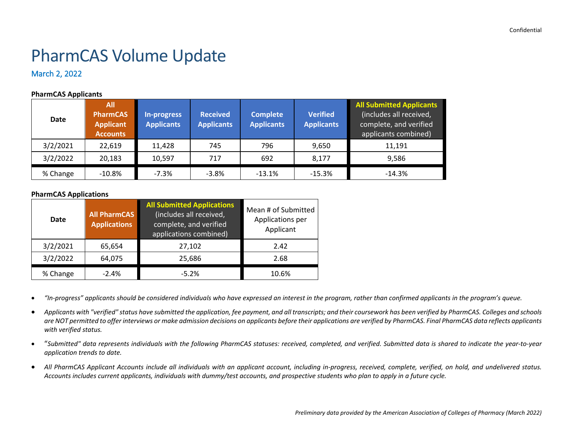# PharmCAS Volume Update

March 2, 2022

#### **PharmCAS Applicants**

| <b>Date</b> | All<br><b>PharmCAS</b><br><b>Applicant</b><br><b>Accounts</b> | In-progress<br><b>Applicants</b> | <b>Received</b><br><b>Applicants</b> | <b>Complete</b><br><b>Applicants</b> | <b>Verified</b><br><b>Applicants</b> | <b>All Submitted Applicants</b><br>(includes all received,<br>complete, and verified<br>applicants combined) |
|-------------|---------------------------------------------------------------|----------------------------------|--------------------------------------|--------------------------------------|--------------------------------------|--------------------------------------------------------------------------------------------------------------|
| 3/2/2021    | 22,619                                                        | 11,428                           | 745                                  | 796                                  | 9,650                                | 11.191                                                                                                       |
| 3/2/2022    | 20,183                                                        | 10,597                           | 717                                  | 692                                  | 8,177                                | 9,586                                                                                                        |
| % Change    | $-10.8%$                                                      | $-7.3%$                          | $-3.8\%$                             | $-13.1%$                             | $-15.3%$                             | $-14.3%$                                                                                                     |

#### **PharmCAS Applications**

| Date     | <b>All PharmCAS</b><br><b>Applications</b> | <b>All Submitted Applications</b><br>(includes all received,<br>complete, and verified<br>applications combined) | Mean # of Submitted<br>Applications per<br>Applicant |  |  |
|----------|--------------------------------------------|------------------------------------------------------------------------------------------------------------------|------------------------------------------------------|--|--|
| 3/2/2021 | 65,654                                     | 27,102                                                                                                           | 2.42                                                 |  |  |
| 3/2/2022 | 64,075                                     | 25,686                                                                                                           | 2.68                                                 |  |  |
| % Change | $-2.4%$                                    | $-5.2%$                                                                                                          | 10.6%                                                |  |  |

• *"In-progress" applicants should be considered individuals who have expressed an interest in the program, rather than confirmed applicants in the program's queue.*

- *Applicants with "verified" status have submitted the application, fee payment, and all transcripts; and their coursework has been verified by PharmCAS. Colleges and schools are NOT permitted to offer interviews or make admission decisions on applicants before their applications are verified by PharmCAS. Final PharmCAS data reflects applicants with verified status.*
- "*Submitted" data represents individuals with the following PharmCAS statuses: received, completed, and verified. Submitted data is shared to indicate the year-to-year application trends to date.*
- *All PharmCAS Applicant Accounts include all individuals with an applicant account, including in-progress, received, complete, verified, on hold, and undelivered status. Accounts includes current applicants, individuals with dummy/test accounts, and prospective students who plan to apply in a future cycle.*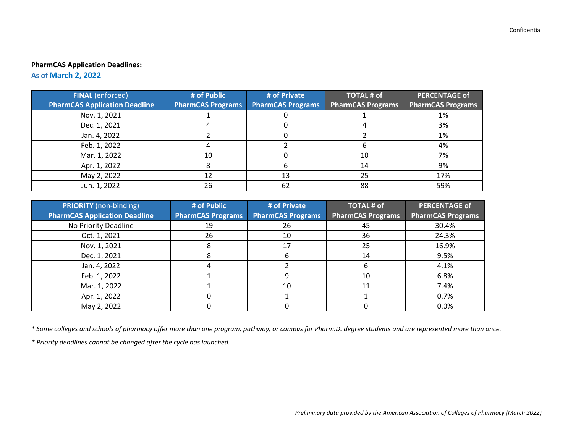# **PharmCAS Application Deadlines:**

**As of March 2, 2022**

| <b>FINAL</b> (enforced)              | # of Public              | # of Private             | <b>TOTAL # of</b>        | <b>PERCENTAGE of</b>     |
|--------------------------------------|--------------------------|--------------------------|--------------------------|--------------------------|
| <b>PharmCAS Application Deadline</b> | <b>PharmCAS Programs</b> | <b>PharmCAS Programs</b> | <b>PharmCAS Programs</b> | <b>PharmCAS Programs</b> |
| Nov. 1, 2021                         |                          |                          |                          | 1%                       |
| Dec. 1, 2021                         |                          |                          |                          | 3%                       |
| Jan. 4, 2022                         |                          |                          |                          | 1%                       |
| Feb. 1, 2022                         |                          |                          |                          | 4%                       |
| Mar. 1, 2022                         | 10                       |                          | 10                       | 7%                       |
| Apr. 1, 2022                         |                          | n                        | 14                       | 9%                       |
| May 2, 2022                          | 12                       | 13                       | 25                       | 17%                      |
| Jun. 1, 2022                         | 26                       | 62                       | 88                       | 59%                      |

| <b>PRIORITY</b> (non-binding)<br><b>PharmCAS Application Deadline</b> | # of Public<br><b>PharmCAS Programs</b> | # of Private<br><b>PharmCAS Programs</b> | <b>TOTAL # of</b><br><b>PharmCAS Programs</b> | <b>PERCENTAGE of</b><br><b>PharmCAS Programs</b> |
|-----------------------------------------------------------------------|-----------------------------------------|------------------------------------------|-----------------------------------------------|--------------------------------------------------|
| No Priority Deadline                                                  | 19                                      | 26                                       | 45                                            | 30.4%                                            |
| Oct. 1, 2021                                                          | 26                                      | 10                                       | 36                                            | 24.3%                                            |
| Nov. 1, 2021                                                          |                                         | 17                                       | 25                                            | 16.9%                                            |
| Dec. 1, 2021                                                          |                                         | h                                        | 14                                            | 9.5%                                             |
| Jan. 4, 2022                                                          |                                         |                                          |                                               | 4.1%                                             |
| Feb. 1, 2022                                                          |                                         | 9                                        | 10                                            | 6.8%                                             |
| Mar. 1, 2022                                                          |                                         | 10                                       |                                               | 7.4%                                             |
| Apr. 1, 2022                                                          |                                         |                                          |                                               | 0.7%                                             |
| May 2, 2022                                                           |                                         |                                          |                                               | 0.0%                                             |

*\* Some colleges and schools of pharmacy offer more than one program, pathway, or campus for Pharm.D. degree students and are represented more than once.*

*\* Priority deadlines cannot be changed after the cycle has launched.*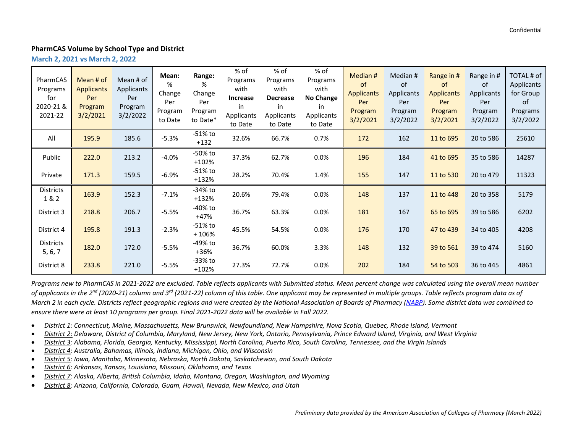### **PharmCAS Volume by School Type and District**

**March 2, 2021 vs March 2, 2022**

| PharmCAS<br>Programs<br>for<br>2020-21 &<br>2021-22 | Mean # of<br><b>Applicants</b><br>Per<br>Program<br>3/2/2021 | Mean # of<br><b>Applicants</b><br>Per<br>Program<br>3/2/2022 | Mean:<br>%<br>Change<br>Per<br>Program<br>to Date | Range:<br>%<br>Change<br>Per<br>Program<br>to Date* | % of<br>Programs<br>with<br>Increase<br>in<br>Applicants<br>to Date | % of<br>Programs<br>with<br><b>Decrease</b><br>in<br>Applicants<br>to Date | % of<br>Programs<br>with<br>No Change<br>in<br>Applicants<br>to Date | Median #<br>of<br><b>Applicants</b><br>Per<br>Program<br>3/2/2021 | Median #<br>of<br>Applicants<br>Per<br>Program<br>3/2/2022 | Range in #<br><sub>of</sub><br><b>Applicants</b><br>Per<br>Program<br>3/2/2021 | Range in #<br>0f<br>Applicants<br>Per<br>Program<br>3/2/2022 | TOTAL # of<br>Applicants<br>for Group<br>0f<br>Programs<br>3/2/2022 |
|-----------------------------------------------------|--------------------------------------------------------------|--------------------------------------------------------------|---------------------------------------------------|-----------------------------------------------------|---------------------------------------------------------------------|----------------------------------------------------------------------------|----------------------------------------------------------------------|-------------------------------------------------------------------|------------------------------------------------------------|--------------------------------------------------------------------------------|--------------------------------------------------------------|---------------------------------------------------------------------|
| All                                                 | 195.9                                                        | 185.6                                                        | $-5.3%$                                           | -51% to<br>$+132$                                   | 32.6%                                                               | 66.7%                                                                      | 0.7%                                                                 | 172                                                               | 162                                                        | 11 to 695                                                                      | 20 to 586                                                    | 25610                                                               |
| Public                                              | 222.0                                                        | 213.2                                                        | $-4.0%$                                           | -50% to<br>$+102%$                                  | 37.3%                                                               | 62.7%                                                                      | 0.0%                                                                 | 196                                                               | 184                                                        | 41 to 695                                                                      | 35 to 586                                                    | 14287                                                               |
| Private                                             | 171.3                                                        | 159.5                                                        | $-6.9%$                                           | -51% to<br>$+132%$                                  | 28.2%                                                               | 70.4%                                                                      | 1.4%                                                                 | 155                                                               | 147                                                        | 11 to 530                                                                      | 20 to 479                                                    | 11323                                                               |
| Districts<br>1&2                                    | 163.9                                                        | 152.3                                                        | $-7.1%$                                           | -34% to<br>$+132%$                                  | 20.6%                                                               | 79.4%                                                                      | 0.0%                                                                 | 148                                                               | 137                                                        | 11 to 448                                                                      | 20 to 358                                                    | 5179                                                                |
| District 3                                          | 218.8                                                        | 206.7                                                        | $-5.5%$                                           | -40% to<br>+47%                                     | 36.7%                                                               | 63.3%                                                                      | 0.0%                                                                 | 181                                                               | 167                                                        | 65 to 695                                                                      | 39 to 586                                                    | 6202                                                                |
| District 4                                          | 195.8                                                        | 191.3                                                        | $-2.3%$                                           | -51% to<br>$+106%$                                  | 45.5%                                                               | 54.5%                                                                      | 0.0%                                                                 | 176                                                               | 170                                                        | 47 to 439                                                                      | 34 to 405                                                    | 4208                                                                |
| <b>Districts</b><br>5, 6, 7                         | 182.0                                                        | 172.0                                                        | $-5.5%$                                           | -49% to<br>+36%                                     | 36.7%                                                               | 60.0%                                                                      | 3.3%                                                                 | 148                                                               | 132                                                        | 39 to 561                                                                      | 39 to 474                                                    | 5160                                                                |
| District 8                                          | 233.8                                                        | 221.0                                                        | $-5.5%$                                           | -33% to<br>$+102%$                                  | 27.3%                                                               | 72.7%                                                                      | 0.0%                                                                 | 202                                                               | 184                                                        | 54 to 503                                                                      | 36 to 445                                                    | 4861                                                                |

*Programs new to PharmCAS in 2021-2022 are excluded. Table reflects applicants with Submitted status. Mean percent change was calculated using the overall mean number of applicants in the 2nd (2020-21) column and 3rd (2021-22) column of this table. One applicant may be represented in multiple groups. Table reflects program data as of March 2 in each cycle. Districts reflect geographic regions and were created by the National Association of Boards of Pharmacy [\(NABP\)](https://nabp.pharmacy/meetings-categories/district-meetings/). Some district data was combined to ensure there were at least 10 programs per group. Final 2021-2022 data will be available in Fall 2022.*

- *District 1: Connecticut, Maine, Massachusetts, New Brunswick, Newfoundland, New Hampshire, Nova Scotia, Quebec, Rhode Island, Vermont*
- *District 2: Delaware, District of Columbia, Maryland, New Jersey, New York, Ontario, Pennsylvania, Prince Edward Island, Virginia, and West Virginia*
- *District 3: Alabama, Florida, Georgia, Kentucky, Mississippi, North Carolina, Puerto Rico, South Carolina, Tennessee, and the Virgin Islands*
- *District 4: Australia, Bahamas, Illinois, Indiana, Michigan, Ohio, and Wisconsin*
- *District 5: Iowa, Manitoba, Minnesota, Nebraska, North Dakota, Saskatchewan, and South Dakota*
- *District 6: Arkansas, Kansas, Louisiana, Missouri, Oklahoma, and Texas*
- *District 7: Alaska, Alberta, British Columbia, Idaho, Montana, Oregon, Washington, and Wyoming*
- *District 8: Arizona, California, Colorado, Guam, Hawaii, Nevada, New Mexico, and Utah*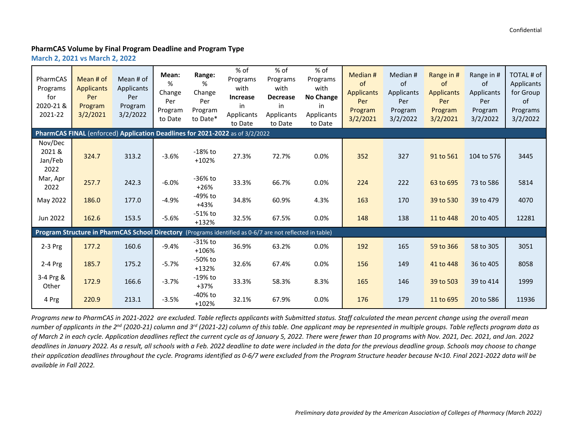# **PharmCAS Volume by Final Program Deadline and Program Type**

**March 2, 2021 vs March 2, 2022**

| PharmCAS<br>Programs<br>for<br>2020-21 &<br>2021-22                          | Mean # of<br><b>Applicants</b><br>Per<br>Program<br>3/2/2021                                             | Mean # of<br>Applicants<br>Per<br>Program<br>3/2/2022 | Mean:<br>%<br>Change<br>Per<br>Program<br>to Date | Range:<br>%<br>Change<br>Per<br>Program<br>to Date* | % of<br>Programs<br>with<br>Increase<br>in<br>Applicants<br>to Date | % of<br>Programs<br>with<br><b>Decrease</b><br>in<br>Applicants<br>to Date | $%$ of<br>Programs<br>with<br>No Change<br>in<br>Applicants<br>to Date | Median #<br>of<br><b>Applicants</b><br>Per<br>Program<br>3/2/2021 | Median #<br>of<br>Applicants<br>Per<br>Program<br>3/2/2022 | Range in #<br>of<br><b>Applicants</b><br>Per<br>Program<br>3/2/2021 | Range in #<br>of<br>Applicants<br>Per<br>Program<br>3/2/2022 | TOTAL # of<br>Applicants<br>for Group<br>of<br>Programs<br>3/2/2022 |  |
|------------------------------------------------------------------------------|----------------------------------------------------------------------------------------------------------|-------------------------------------------------------|---------------------------------------------------|-----------------------------------------------------|---------------------------------------------------------------------|----------------------------------------------------------------------------|------------------------------------------------------------------------|-------------------------------------------------------------------|------------------------------------------------------------|---------------------------------------------------------------------|--------------------------------------------------------------|---------------------------------------------------------------------|--|
| PharmCAS FINAL (enforced) Application Deadlines for 2021-2022 as of 3/2/2022 |                                                                                                          |                                                       |                                                   |                                                     |                                                                     |                                                                            |                                                                        |                                                                   |                                                            |                                                                     |                                                              |                                                                     |  |
| Nov/Dec<br>2021&<br>Jan/Feb<br>2022                                          | 324.7                                                                                                    | 313.2                                                 | $-3.6%$                                           | $-18\%$ to<br>$+102%$                               | 27.3%                                                               | 72.7%                                                                      | 0.0%                                                                   | 352                                                               | 327                                                        | 91 to 561                                                           | 104 to 576                                                   | 3445                                                                |  |
| Mar, Apr<br>2022                                                             | 257.7                                                                                                    | 242.3                                                 | $-6.0%$                                           | -36% to<br>$+26%$                                   | 33.3%                                                               | 66.7%                                                                      | 0.0%                                                                   | 224                                                               | 222                                                        | 63 to 695                                                           | 73 to 586                                                    | 5814                                                                |  |
| May 2022                                                                     | 186.0                                                                                                    | 177.0                                                 | $-4.9%$                                           | -49% to<br>$+43%$                                   | 34.8%                                                               | 60.9%                                                                      | 4.3%                                                                   | 163                                                               | 170                                                        | 39 to 530                                                           | 39 to 479                                                    | 4070                                                                |  |
| Jun 2022                                                                     | 162.6                                                                                                    | 153.5                                                 | $-5.6%$                                           | -51% to<br>$+132%$                                  | 32.5%                                                               | 67.5%                                                                      | 0.0%                                                                   | 148                                                               | 138                                                        | 11 to 448                                                           | 20 to 405                                                    | 12281                                                               |  |
|                                                                              | Program Structure in PharmCAS School Directory (Programs identified as 0-6/7 are not reflected in table) |                                                       |                                                   |                                                     |                                                                     |                                                                            |                                                                        |                                                                   |                                                            |                                                                     |                                                              |                                                                     |  |
| $2-3$ Prg                                                                    | 177.2                                                                                                    | 160.6                                                 | $-9.4%$                                           | $-31\%$ to<br>+106%                                 | 36.9%                                                               | 63.2%                                                                      | 0.0%                                                                   | 192                                                               | 165                                                        | 59 to 366                                                           | 58 to 305                                                    | 3051                                                                |  |
| 2-4 Prg                                                                      | 185.7                                                                                                    | 175.2                                                 | $-5.7%$                                           | -50% to<br>$+132%$                                  | 32.6%                                                               | 67.4%                                                                      | 0.0%                                                                   | 156                                                               | 149                                                        | 41 to 448                                                           | 36 to 405                                                    | 8058                                                                |  |
| 3-4 Prg &<br>Other                                                           | 172.9                                                                                                    | 166.6                                                 | $-3.7%$                                           | $-19%$ to<br>$+37%$                                 | 33.3%                                                               | 58.3%                                                                      | 8.3%                                                                   | 165                                                               | 146                                                        | 39 to 503                                                           | 39 to 414                                                    | 1999                                                                |  |
| 4 Prg                                                                        | 220.9                                                                                                    | 213.1                                                 | $-3.5%$                                           | -40% to<br>$+102%$                                  | 32.1%                                                               | 67.9%                                                                      | 0.0%                                                                   | 176                                                               | 179                                                        | 11 to 695                                                           | 20 to 586                                                    | 11936                                                               |  |

*Programs new to PharmCAS in 2021-2022 are excluded. Table reflects applicants with Submitted status. Staff calculated the mean percent change using the overall mean number of applicants in the 2nd (2020-21) column and 3rd (2021-22) column of this table. One applicant may be represented in multiple groups. Table reflects program data as of March 2 in each cycle. Application deadlines reflect the current cycle as of January 5, 2022. There were fewer than 10 programs with Nov. 2021, Dec. 2021, and Jan. 2022 deadlines in January 2022. As a result, all schools with a Feb. 2022 deadline to date were included in the data for the previous deadline group. Schools may choose to change their application deadlines throughout the cycle. Programs identified as 0-6/7 were excluded from the Program Structure header because N<10. Final 2021-2022 data will be available in Fall 2022.*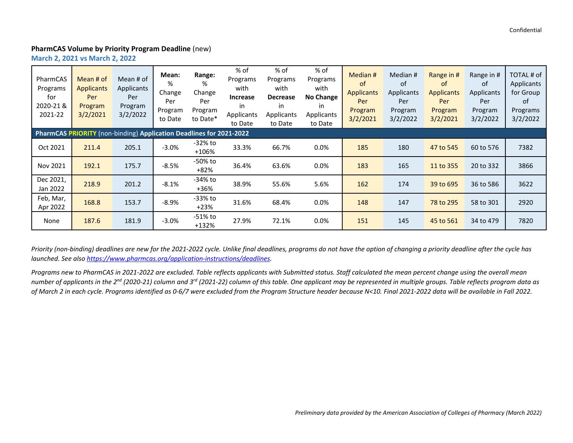#### **PharmCAS Volume by Priority Program Deadline** (new)

**March 2, 2021 vs March 2, 2022**

| PharmCAS<br>Programs<br>for<br>2020-21 &<br>2021-22                 | Mean # of<br><b>Applicants</b><br>Per<br>Program<br>3/2/2021 | Mean # of<br>Applicants<br>Per<br>Program<br>3/2/2022 | Mean:<br>%<br>Change<br>Per<br>Program<br>to Date | Range:<br>%<br>Change<br>Per<br>Program<br>to Date* | % of<br>Programs<br>with<br>Increase<br>in<br>Applicants<br>to Date | $%$ of<br>Programs<br>with<br><b>Decrease</b><br>in<br><b>Applicants</b><br>to Date | % of<br>Programs<br>with<br>No Change<br>in<br>Applicants<br>to Date | Median #<br>οf<br><b>Applicants</b><br>Per<br>Program<br>3/2/2021 | Median #<br>0f<br>Applicants<br>Per<br>Program<br>3/2/2022 | Range in #<br><sub>of</sub><br><b>Applicants</b><br>Per<br>Program<br>3/2/2021 | Range in #<br>0f<br>Applicants<br>Per<br>Program<br>3/2/2022 | TOTAL # of<br>Applicants<br>for Group<br>0f<br>Programs<br>3/2/2022 |  |
|---------------------------------------------------------------------|--------------------------------------------------------------|-------------------------------------------------------|---------------------------------------------------|-----------------------------------------------------|---------------------------------------------------------------------|-------------------------------------------------------------------------------------|----------------------------------------------------------------------|-------------------------------------------------------------------|------------------------------------------------------------|--------------------------------------------------------------------------------|--------------------------------------------------------------|---------------------------------------------------------------------|--|
| PharmCAS PRIORITY (non-binding) Application Deadlines for 2021-2022 |                                                              |                                                       |                                                   |                                                     |                                                                     |                                                                                     |                                                                      |                                                                   |                                                            |                                                                                |                                                              |                                                                     |  |
| Oct 2021                                                            | 211.4                                                        | 205.1                                                 | $-3.0%$                                           | -32% to<br>$+106%$                                  | 33.3%                                                               | 66.7%                                                                               | $0.0\%$                                                              | 185                                                               | 180                                                        | 47 to 545                                                                      | 60 to 576                                                    | 7382                                                                |  |
| Nov 2021                                                            | 192.1                                                        | 175.7                                                 | $-8.5%$                                           | -50% to<br>+82%                                     | 36.4%                                                               | 63.6%                                                                               | $0.0\%$                                                              | 183                                                               | 165                                                        | 11 to 355                                                                      | 20 to 332                                                    | 3866                                                                |  |
| Dec 2021,<br>Jan 2022                                               | 218.9                                                        | 201.2                                                 | $-8.1%$                                           | -34% to<br>$+36%$                                   | 38.9%                                                               | 55.6%                                                                               | 5.6%                                                                 | 162                                                               | 174                                                        | 39 to 695                                                                      | 36 to 586                                                    | 3622                                                                |  |
| Feb, Mar,<br>Apr 2022                                               | 168.8                                                        | 153.7                                                 | $-8.9%$                                           | -33% to<br>$+23%$                                   | 31.6%                                                               | 68.4%                                                                               | $0.0\%$                                                              | 148                                                               | 147                                                        | 78 to 295                                                                      | 58 to 301                                                    | 2920                                                                |  |
| None                                                                | 187.6                                                        | 181.9                                                 | $-3.0%$                                           | -51% to<br>$+132%$                                  | 27.9%                                                               | 72.1%                                                                               | 0.0%                                                                 | 151                                                               | 145                                                        | 45 to 561                                                                      | 34 to 479                                                    | 7820                                                                |  |

*Priority (non-binding) deadlines are new for the 2021-2022 cycle. Unlike final deadlines, programs do not have the option of changing a priority deadline after the cycle has launched. See also [https://www.pharmcas.org/application-instructions/deadlines.](https://www.pharmcas.org/application-instructions/deadlines)* 

*Programs new to PharmCAS in 2021-2022 are excluded. Table reflects applicants with Submitted status. Staff calculated the mean percent change using the overall mean number of applicants in the 2nd (2020-21) column and 3rd (2021-22) column of this table. One applicant may be represented in multiple groups. Table reflects program data as of March 2 in each cycle. Programs identified as 0-6/7 were excluded from the Program Structure header because N<10. Final 2021-2022 data will be available in Fall 2022.*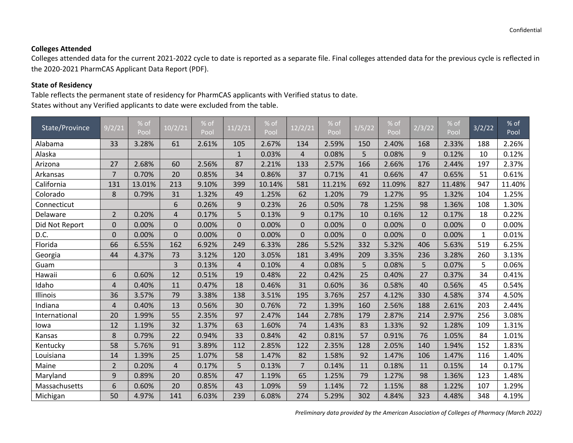# **Colleges Attended**

Colleges attended data for the current 2021-2022 cycle to date is reported as a separate file. Final colleges attended data for the previous cycle is reflected in the 2020-2021 PharmCAS Applicant Data Report (PDF).

# **State of Residency**

Table reflects the permanent state of residency for PharmCAS applicants with Verified status to date. States without any Verified applicants to date were excluded from the table.

| State/Province | 9/2/21         | % of   | 10/2/21        | % of  | 11/2/21        | $%$ of | 12/2/21        | % of   | 1/5/22   | % of   | 2/3/22   | $%$ of | 3/2/22       | % of   |
|----------------|----------------|--------|----------------|-------|----------------|--------|----------------|--------|----------|--------|----------|--------|--------------|--------|
|                |                | Pool   |                | Pool  |                | Pool   |                | Pool   |          | Pool   |          | Pool   |              | Pool   |
| Alabama        | 33             | 3.28%  | 61             | 2.61% | 105            | 2.67%  | 134            | 2.59%  | 150      | 2.40%  | 168      | 2.33%  | 188          | 2.26%  |
| Alaska         |                |        |                |       | $\mathbf{1}$   | 0.03%  | 4              | 0.08%  | 5        | 0.08%  | 9        | 0.12%  | 10           | 0.12%  |
| Arizona        | 27             | 2.68%  | 60             | 2.56% | 87             | 2.21%  | 133            | 2.57%  | 166      | 2.66%  | 176      | 2.44%  | 197          | 2.37%  |
| Arkansas       | $\overline{7}$ | 0.70%  | 20             | 0.85% | 34             | 0.86%  | 37             | 0.71%  | 41       | 0.66%  | 47       | 0.65%  | 51           | 0.61%  |
| California     | 131            | 13.01% | 213            | 9.10% | 399            | 10.14% | 581            | 11.21% | 692      | 11.09% | 827      | 11.48% | 947          | 11.40% |
| Colorado       | 8              | 0.79%  | 31             | 1.32% | 49             | 1.25%  | 62             | 1.20%  | 79       | 1.27%  | 95       | 1.32%  | 104          | 1.25%  |
| Connecticut    |                |        | 6              | 0.26% | 9              | 0.23%  | 26             | 0.50%  | 78       | 1.25%  | 98       | 1.36%  | 108          | 1.30%  |
| Delaware       | $\overline{2}$ | 0.20%  | $\overline{4}$ | 0.17% | 5              | 0.13%  | 9              | 0.17%  | 10       | 0.16%  | 12       | 0.17%  | 18           | 0.22%  |
| Did Not Report | $\mathbf 0$    | 0.00%  | $\Omega$       | 0.00% | $\Omega$       | 0.00%  | $\Omega$       | 0.00%  | $\Omega$ | 0.00%  | $\Omega$ | 0.00%  | 0            | 0.00%  |
| D.C.           | $\mathbf 0$    | 0.00%  | $\overline{0}$ | 0.00% | $\mathbf 0$    | 0.00%  | $\overline{0}$ | 0.00%  | $\Omega$ | 0.00%  | $\Omega$ | 0.00%  | $\mathbf{1}$ | 0.01%  |
| Florida        | 66             | 6.55%  | 162            | 6.92% | 249            | 6.33%  | 286            | 5.52%  | 332      | 5.32%  | 406      | 5.63%  | 519          | 6.25%  |
| Georgia        | 44             | 4.37%  | 73             | 3.12% | 120            | 3.05%  | 181            | 3.49%  | 209      | 3.35%  | 236      | 3.28%  | 260          | 3.13%  |
| Guam           |                |        | 3              | 0.13% | $\overline{4}$ | 0.10%  | 4              | 0.08%  | 5        | 0.08%  | 5        | 0.07%  | 5            | 0.06%  |
| Hawaii         | 6              | 0.60%  | 12             | 0.51% | 19             | 0.48%  | 22             | 0.42%  | 25       | 0.40%  | 27       | 0.37%  | 34           | 0.41%  |
| Idaho          | 4              | 0.40%  | 11             | 0.47% | 18             | 0.46%  | 31             | 0.60%  | 36       | 0.58%  | 40       | 0.56%  | 45           | 0.54%  |
| Illinois       | 36             | 3.57%  | 79             | 3.38% | 138            | 3.51%  | 195            | 3.76%  | 257      | 4.12%  | 330      | 4.58%  | 374          | 4.50%  |
| Indiana        | 4              | 0.40%  | 13             | 0.56% | 30             | 0.76%  | 72             | 1.39%  | 160      | 2.56%  | 188      | 2.61%  | 203          | 2.44%  |
| International  | 20             | 1.99%  | 55             | 2.35% | 97             | 2.47%  | 144            | 2.78%  | 179      | 2.87%  | 214      | 2.97%  | 256          | 3.08%  |
| lowa           | 12             | 1.19%  | 32             | 1.37% | 63             | 1.60%  | 74             | 1.43%  | 83       | 1.33%  | 92       | 1.28%  | 109          | 1.31%  |
| Kansas         | 8              | 0.79%  | 22             | 0.94% | 33             | 0.84%  | 42             | 0.81%  | 57       | 0.91%  | 76       | 1.05%  | 84           | 1.01%  |
| Kentucky       | 58             | 5.76%  | 91             | 3.89% | 112            | 2.85%  | 122            | 2.35%  | 128      | 2.05%  | 140      | 1.94%  | 152          | 1.83%  |
| Louisiana      | 14             | 1.39%  | 25             | 1.07% | 58             | 1.47%  | 82             | 1.58%  | 92       | 1.47%  | 106      | 1.47%  | 116          | 1.40%  |
| Maine          | $\overline{2}$ | 0.20%  | 4              | 0.17% | 5              | 0.13%  | 7              | 0.14%  | 11       | 0.18%  | 11       | 0.15%  | 14           | 0.17%  |
| Maryland       | 9              | 0.89%  | 20             | 0.85% | 47             | 1.19%  | 65             | 1.25%  | 79       | 1.27%  | 98       | 1.36%  | 123          | 1.48%  |
| Massachusetts  | 6              | 0.60%  | 20             | 0.85% | 43             | 1.09%  | 59             | 1.14%  | 72       | 1.15%  | 88       | 1.22%  | 107          | 1.29%  |
| Michigan       | 50             | 4.97%  | 141            | 6.03% | 239            | 6.08%  | 274            | 5.29%  | 302      | 4.84%  | 323      | 4.48%  | 348          | 4.19%  |